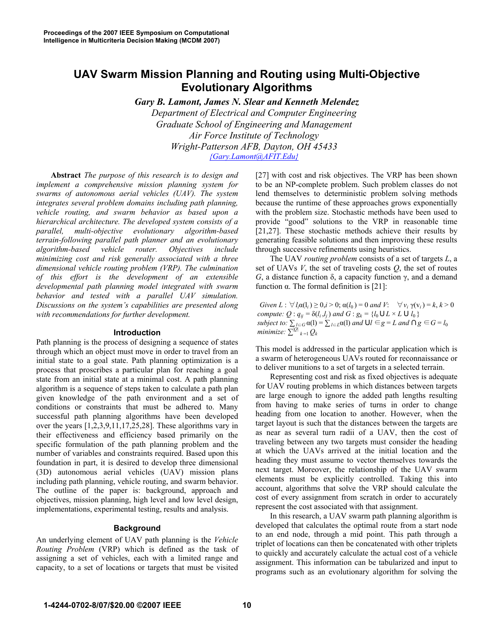# **UAV Swarm Mission Planning and Routing using Multi-Objective Evolutionary Algorithms**

*Gary B. Lamont, James N. Slear and Kenneth Melendez Department of Electrical and Computer Engineering Graduate School of Engineering and Management Air Force Institute of Technology Wright-Patterson AFB, Dayton, OH 45433 {Gary.Lamont@AFIT.Edu}*

**Abstract** *The purpose of this research is to design and implement a comprehensive mission planning system for swarms of autonomous aerial vehicles (UAV). The system integrates several problem domains including path planning, vehicle routing, and swarm behavior as based upon a hierarchical architecture. The developed system consists of a parallel, multi-objective evolutionary algorithm-based terrain-following parallel path planner and an evolutionary algorithm-based vehicle router. Objectives include minimizing cost and risk generally associated with a three dimensional vehicle routing problem (VRP). The culmination of this effort is the development of an extensible developmental path planning model integrated with swarm behavior and tested with a parallel UAV simulation. Discussions on the system's capabilities are presented along with recommendations for further development.* 

# **Introduction**

Path planning is the process of designing a sequence of states through which an object must move in order to travel from an initial state to a goal state. Path planning optimization is a process that proscribes a particular plan for reaching a goal state from an initial state at a minimal cost. A path planning algorithm is a sequence of steps taken to calculate a path plan given knowledge of the path environment and a set of conditions or constraints that must be adhered to. Many successful path planning algorithms have been developed over the years [1,2,3,9,11,17,25,28]. These algorithms vary in their effectiveness and efficiency based primarily on the specific formulation of the path planning problem and the number of variables and constraints required. Based upon this foundation in part, it is desired to develop three dimensional (3D) autonomous aerial vehicles (UAV) mission plans including path planning, vehicle routing, and swarm behavior. The outline of the paper is: background, approach and objectives, mission planning, high level and low level design, implementations, experimental testing, results and analysis.

#### **Background**

An underlying element of UAV path planning is the *Vehicle Routing Problem* (VRP) which is defined as the task of assigning a set of vehicles, each with a limited range and capacity, to a set of locations or targets that must be visited [27] with cost and risk objectives. The VRP has been shown to be an NP-complete problem. Such problem classes do not lend themselves to deterministic problem solving methods because the runtime of these approaches grows exponentially with the problem size. Stochastic methods have been used to provide "good" solutions to the VRP in reasonable time [21,27]. These stochastic methods achieve their results by generating feasible solutions and then improving these results through successive refinements using heuristics.

The UAV *routing problem* consists of a set of targets *L*, a set of UAVs *V*, the set of traveling costs *Q*, the set of routes  $G$ , a distance function  $\delta$ , a capacity function  $\gamma$ , and a demand function  $\alpha$ . The formal definition is [21]:

*Given L* :  $\forall l_i \alpha(l_i) \geq 0, i > 0; \alpha(l_0) = 0$  *and V*:  $\forall v_i \gamma(v_i) = k, k > 0$ *compute:*  $Q: q_{ij} = \delta(l_i, l_j)$  *and*  $G: g_k = \{l_0 \cup L \times L \cup l_0\}$ *subject to:*  $\sum_{l \in G}$ *subject to:*  $\sum_{l \in G} \alpha(l) = \sum_{l \in L} \alpha(l)$  *and*  $\cup l \in g = L$  *and*  $\cap g \in G = l_0$  *minimize:*  $\sum_{l \in G} |Q_k|$ 

This model is addressed in the particular application which is a swarm of heterogeneous UAVs routed for reconnaissance or to deliver munitions to a set of targets in a selected terrain.

Representing cost and risk as fixed objectives is adequate for UAV routing problems in which distances between targets are large enough to ignore the added path lengths resulting from having to make series of turns in order to change heading from one location to another. However, when the target layout is such that the distances between the targets are as near as several turn radii of a UAV, then the cost of traveling between any two targets must consider the heading at which the UAVs arrived at the initial location and the heading they must assume to vector themselves towards the next target. Moreover, the relationship of the UAV swarm elements must be explicitly controlled. Taking this into account, algorithms that solve the VRP should calculate the cost of every assignment from scratch in order to accurately represent the cost associated with that assignment.

In this research, a UAV swarm path planning algorithm is developed that calculates the optimal route from a start node to an end node, through a mid point. This path through a triplet of locations can then be concatenated with other triplets to quickly and accurately calculate the actual cost of a vehicle assignment. This information can be tabularized and input to programs such as an evolutionary algorithm for solving the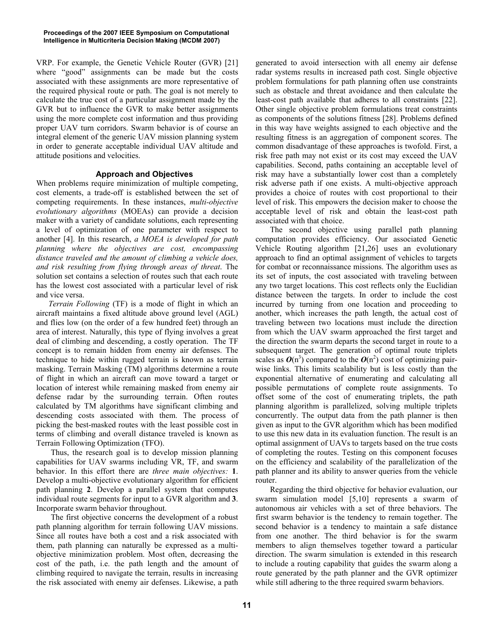VRP. For example, the Genetic Vehicle Router (GVR) [21] where "good" assignments can be made but the costs associated with these assignments are more representative of the required physical route or path. The goal is not merely to calculate the true cost of a particular assignment made by the GVR but to influence the GVR to make better assignments using the more complete cost information and thus providing proper UAV turn corridors. Swarm behavior is of course an integral element of the generic UAV mission planning system in order to generate acceptable individual UAV altitude and attitude positions and velocities.

# **Approach and Objectives**

When problems require minimization of multiple competing, cost elements, a trade-off is established between the set of competing requirements. In these instances, *multi-objective evolutionary algorithms* (MOEAs) can provide a decision maker with a variety of candidate solutions, each representing a level of optimization of one parameter with respect to another [4]. In this research, *a MOEA is developed for path planning where the objectives are cost, encompassing distance traveled and the amount of climbing a vehicle does, and risk resulting from flying through areas of threat*. The solution set contains a selection of routes such that each route has the lowest cost associated with a particular level of risk and vice versa.

 *Terrain Following* (TF) is a mode of flight in which an aircraft maintains a fixed altitude above ground level (AGL) and flies low (on the order of a few hundred feet) through an area of interest. Naturally, this type of flying involves a great deal of climbing and descending, a costly operation. The TF concept is to remain hidden from enemy air defenses. The technique to hide within rugged terrain is known as terrain masking. Terrain Masking (TM) algorithms determine a route of flight in which an aircraft can move toward a target or location of interest while remaining masked from enemy air defense radar by the surrounding terrain. Often routes calculated by TM algorithms have significant climbing and descending costs associated with them. The process of picking the best-masked routes with the least possible cost in terms of climbing and overall distance traveled is known as Terrain Following Optimization (TFO).

Thus, the research goal is to develop mission planning capabilities for UAV swarms including VR, TF, and swarm behavior. In this effort there are *three main objectives:* **1**. Develop a multi-objective evolutionary algorithm for efficient path planning **2**. Develop a parallel system that computes individual route segments for input to a GVR algorithm and **3**. Incorporate swarm behavior throughout.

The first objective concerns the development of a robust path planning algorithm for terrain following UAV missions. Since all routes have both a cost and a risk associated with them, path planning can naturally be expressed as a multiobjective minimization problem. Most often, decreasing the cost of the path, i.e. the path length and the amount of climbing required to navigate the terrain, results in increasing the risk associated with enemy air defenses. Likewise, a path

generated to avoid intersection with all enemy air defense radar systems results in increased path cost. Single objective problem formulations for path planning often use constraints such as obstacle and threat avoidance and then calculate the least-cost path available that adheres to all constraints [22]. Other single objective problem formulations treat constraints as components of the solutions fitness [28]. Problems defined in this way have weights assigned to each objective and the resulting fitness is an aggregation of component scores. The common disadvantage of these approaches is twofold. First, a risk free path may not exist or its cost may exceed the UAV capabilities. Second, paths containing an acceptable level of risk may have a substantially lower cost than a completely risk adverse path if one exists. A multi-objective approach provides a choice of routes with cost proportional to their level of risk. This empowers the decision maker to choose the acceptable level of risk and obtain the least-cost path associated with that choice.

The second objective using parallel path planning computation provides efficiency. Our associated Genetic Vehicle Routing algorithm [21,26] uses an evolutionary approach to find an optimal assignment of vehicles to targets for combat or reconnaissance missions. The algorithm uses as its set of inputs, the cost associated with traveling between any two target locations. This cost reflects only the Euclidian distance between the targets. In order to include the cost incurred by turning from one location and proceeding to another, which increases the path length, the actual cost of traveling between two locations must include the direction from which the UAV swarm approached the first target and the direction the swarm departs the second target in route to a subsequent target. The generation of optimal route triplets scales as  $O(n^3)$  compared to the  $O(n^2)$  cost of optimizing pairwise links. This limits scalability but is less costly than the exponential alternative of enumerating and calculating all possible permutations of complete route assignments. To offset some of the cost of enumerating triplets, the path planning algorithm is parallelized, solving multiple triplets concurrently. The output data from the path planner is then given as input to the GVR algorithm which has been modified to use this new data in its evaluation function. The result is an optimal assignment of UAVs to targets based on the true costs of completing the routes. Testing on this component focuses on the efficiency and scalability of the parallelization of the path planner and its ability to answer queries from the vehicle router.

Regarding the third objective for behavior evaluation, our swarm simulation model [5,10] represents a swarm of autonomous air vehicles with a set of three behaviors. The first swarm behavior is the tendency to remain together. The second behavior is a tendency to maintain a safe distance from one another. The third behavior is for the swarm members to align themselves together toward a particular direction. The swarm simulation is extended in this research to include a routing capability that guides the swarm along a route generated by the path planner and the GVR optimizer while still adhering to the three required swarm behaviors.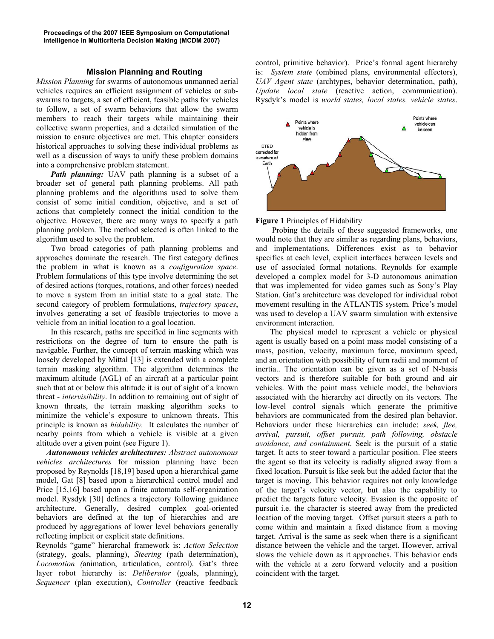# **Mission Planning and Routing**

*Mission Planning* for swarms of autonomous unmanned aerial vehicles requires an efficient assignment of vehicles or subswarms to targets, a set of efficient, feasible paths for vehicles to follow, a set of swarm behaviors that allow the swarm members to reach their targets while maintaining their collective swarm properties, and a detailed simulation of the mission to ensure objectives are met. This chapter considers historical approaches to solving these individual problems as well as a discussion of ways to unify these problem domains into a comprehensive problem statement.

*Path planning:* UAV path planning is a subset of a broader set of general path planning problems. All path planning problems and the algorithms used to solve them consist of some initial condition, objective, and a set of actions that completely connect the initial condition to the objective. However, there are many ways to specify a path planning problem. The method selected is often linked to the algorithm used to solve the problem.

Two broad categories of path planning problems and approaches dominate the research. The first category defines the problem in what is known as a *configuration space*. Problem formulations of this type involve determining the set of desired actions (torques, rotations, and other forces) needed to move a system from an initial state to a goal state. The second category of problem formulations, *trajectory spaces*, involves generating a set of feasible trajectories to move a vehicle from an initial location to a goal location.

 In this research, paths are specified in line segments with restrictions on the degree of turn to ensure the path is navigable. Further, the concept of terrain masking which was loosely developed by Mittal [13] is extended with a complete terrain masking algorithm. The algorithm determines the maximum altitude (AGL) of an aircraft at a particular point such that at or below this altitude it is out of sight of a known threat - *intervisibility*. In addition to remaining out of sight of known threats, the terrain masking algorithm seeks to minimize the vehicle's exposure to unknown threats. This principle is known as *hidability.* It calculates the number of nearby points from which a vehicle is visible at a given altitude over a given point (see Figure 1).

*Autonomous vehicles architectures: Abstract autonomous vehicles architectures* for mission planning have been proposed by Reynolds [18,19] based upon a hierarchical game model, Gat [8] based upon a hierarchical control model and Price [15,16] based upon a finite automata self-organization model. Rysdyk [30] defines a trajectory following guidance architecture. Generally, desired complex goal-oriented behaviors are defined at the top of hierarchies and are produced by aggregations of lower level behaviors generally reflecting implicit or explicit state definitions.

Reynolds "game" hierarchal framework is: *Action Selection* (strategy, goals, planning), *Steering* (path determination), *Locomotion (*animation, articulation, control). Gat's three layer robot hierarchy is: *Deliberator* (goals, planning), *Sequencer* (plan execution), *Controller* (reactive feedback

control, primitive behavior). Price's formal agent hierarchy is: *System state* (ombined plans, environmental effectors), *UAV Agent state* (archtypes, behavior determination, path), *Update local state* (reactive action, communication). Rysdyk's model is *world states, local states, vehicle states*.



**Figure 1** Principles of Hidability

 Probing the details of these suggested frameworks, one would note that they are similar as regarding plans, behaviors, and implementations. Differences exist as to behavior specifics at each level, explicit interfaces between levels and use of associated formal notations. Reynolds for example developed a complex model for 3-D autonomous animation that was implemented for video games such as Sony's Play Station. Gat's architecture was developed for individual robot movement resulting in the ATLANTIS system. Price's model was used to develop a UAV swarm simulation with extensive environment interaction.

The physical model to represent a vehicle or physical agent is usually based on a point mass model consisting of a mass, position, velocity, maximum force, maximum speed, and an orientation with possibility of turn radii and moment of inertia.. The orientation can be given as a set of N-basis vectors and is therefore suitable for both ground and air vehicles. With the point mass vehicle model, the behaviors associated with the hierarchy act directly on its vectors. The low-level control signals which generate the primitive behaviors are communicated from the desired plan behavior. Behaviors under these hierarchies can include: *seek, flee, arrival, pursuit, offset pursuit, path following, obstacle avoidance, and containment*. Seek is the pursuit of a static target. It acts to steer toward a particular position. Flee steers the agent so that its velocity is radially aligned away from a fixed location. Pursuit is like seek but the added factor that the target is moving. This behavior requires not only knowledge of the target's velocity vector, but also the capability to predict the targets future velocity. Evasion is the opposite of pursuit i.e. the character is steered away from the predicted location of the moving target. Offset pursuit steers a path to come within and maintain a fixed distance from a moving target. Arrival is the same as seek when there is a significant distance between the vehicle and the target. However, arrival slows the vehicle down as it approaches. This behavior ends with the vehicle at a zero forward velocity and a position coincident with the target.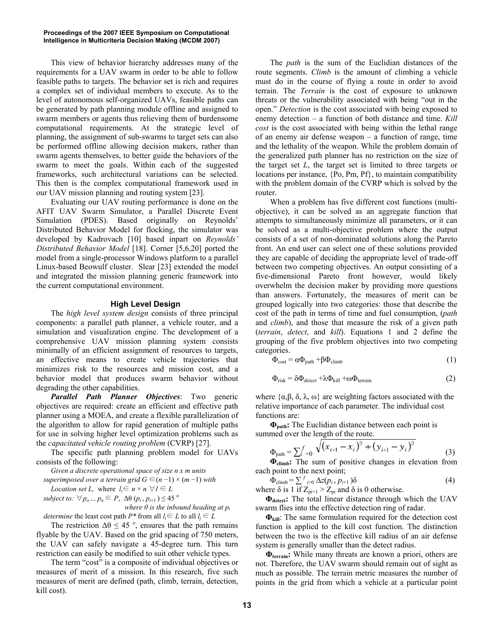This view of behavior hierarchy addresses many of the requirements for a UAV swarm in order to be able to follow feasible paths to targets. The behavior set is rich and requires a complex set of individual members to execute. As to the level of autonomous self-organized UAVs, feasible paths can be generated by path planning module offline and assigned to swarm members or agents thus relieving them of burdensome computational requirements. At the strategic level of planning, the assignment of sub-swarms to target sets can also be performed offline allowing decision makers, rather than swarm agents themselves, to better guide the behaviors of the swarm to meet the goals. Within each of the suggested frameworks, such architectural variations can be selected. This then is the complex computational framework used in our UAV mission planning and routing system [23].

Evaluating our UAV routing performance is done on the AFIT UAV Swarm Simulator, a Parallel Discrete Event Simulation (PDES). Based originally on Reynolds' Distributed Behavior Model for flocking, the simulator was developed by Kadrovach [10] based inpart on *Reynolds' Distributed Behavior Model* [18]. Corner [5,6,20] ported the model from a single-processor Windows platform to a parallel Linux-based Beowulf cluster. Slear [23] extended the model and integrated the mission planning generic framework into the current computational environment.

## **High Level Design**

The *high level system design* consists of three principal components: a parallel path planner, a vehicle router, and a simulation and visualization engine. The development of a comprehensive UAV mission planning system consists minimally of an efficient assignment of resources to targets, an effective means to create vehicle trajectories that minimizes risk to the resources and mission cost, and a behavior model that produces swarm behavior without degrading the other capabilities.

*Parallel Path Planner Objectives*: Two generic objectives are required: create an efficient and effective path planner using a MOEA, and create a flexible parallelization of the algorithm to allow for rapid generation of multiple paths for use in solving higher level optimization problems such as the *capacitated vehicle routing problem* (CVRP) [27].

The specific path planning problem model for UAVs consists of the following:

*Given a discrete operational space of size n x m units* 

*superimposed over a terrain grid*  $G \in (n-1) \times (m-1)$  *with* 

*Location set L,* where  $l_i \in n \times n \ \forall l \in L$ 

*subject to:*  $\forall p_o... p_n \in P$ ,  $\Delta\theta$   $(p_i, p_{i+1}) \leq 45^\circ$ 

*where*  $\theta$  *is the inbound heading at*  $p_i$ *determine* the least cost path  $P^*$  from all  $l_i \in L$  to all  $l_i \in L$ 

The restriction  $\Delta \theta \leq 45^\circ$ , ensures that the path remains flyable by the UAV. Based on the grid spacing of 750 meters, the UAV can safely navigate a 45-degree turn. This turn restriction can easily be modified to suit other vehicle types.

The term "cost" is a composite of individual objectives or measures of merit of a mission. In this research, five such measures of merit are defined (path, climb, terrain, detection, kill cost).

The *path* is the sum of the Euclidian distances of the route segments. *Climb* is the amount of climbing a vehicle must do in the course of flying a route in order to avoid terrain. The *Terrain* is the cost of exposure to unknown threats or the vulnerability associated with being "out in the open." *Detection* is the cost associated with being exposed to enemy detection – a function of both distance and time. *Kill cost* is the cost associated with being within the lethal range of an enemy air defense weapon – a function of range, time and the lethality of the weapon. While the problem domain of the generalized path planner has no restriction on the size of the target set *L*, the target set is limited to three targets or locations per instance, {Po, Pm, Pf}, to maintain compatibility with the problem domain of the CVRP which is solved by the router.

When a problem has five different cost functions (multiobjective), it can be solved as an aggregate function that attempts to simultaneously minimize all parameters, or it can be solved as a multi-objective problem where the output consists of a set of non-dominated solutions along the Pareto front. An end user can select one of these solutions provided they are capable of deciding the appropriate level of trade-off between two competing objectives. An output consisting of a five-dimensional Pareto front however, would likely overwhelm the decision maker by providing more questions than answers. Fortunately, the measures of merit can be grouped logically into two categories: those that describe the cost of the path in terms of time and fuel consumption, (*path*  and *climb*), and those that measure the risk of a given path (*terrain*, *detect*, and *kill*). Equations 1 and 2 define the grouping of the five problem objectives into two competing categories.

$$
\Phi_{\text{cost}} = \alpha \Phi_{\text{path}} + \beta \Phi_{\text{climb}} \tag{1}
$$

$$
\Phi_{\text{risk}} = \delta \Phi_{\text{detect}} + \lambda \Phi_{\text{kill}} + \omega \Phi_{\text{terrain}} \tag{2}
$$

where  $\{\alpha, \beta, \delta, \lambda, \omega\}$  are weighting factors associated with the relative importance of each parameter. The individual cost functions are:

 $\Phi_{\text{path}}$ **: The Euclidian distance between each point is** summed over the length of the route.

$$
\Phi_{\text{path}} = \sum_{i} f_{-0} \sqrt{(x_{i+1} - x_i)^2 + (y_{i+1} - y_i)^2}
$$
\n(3)

**ĭclimb:** The sum of positive changes in elevation from each point to the next point;

$$
\Phi_{\text{climb}} = \sum_{j=0}^{f} \Delta z (p_i, p_{i+1}) \delta
$$
\nwhere  $\delta$  is 1 if  $Z_{\text{pi+1}} > Z_{\text{pi}}$  and  $\delta$  is 0 otherwise. (4)

 $\Phi_{\text{detect}}$ : The total linear distance through which the UAV swarm flies into the effective detection ring of radar.

 $\Phi_{\text{kill}}$ : The same formulation required for the detection cost function is applied to the kill cost function. The distinction between the two is the effective kill radius of an air defense system is generally smaller than the detect radius.

 $\Phi$ <sub>terrain</sub>: While many threats are known a priori, others are not. Therefore, the UAV swarm should remain out of sight as much as possible. The terrain metric measures the number of points in the grid from which a vehicle at a particular point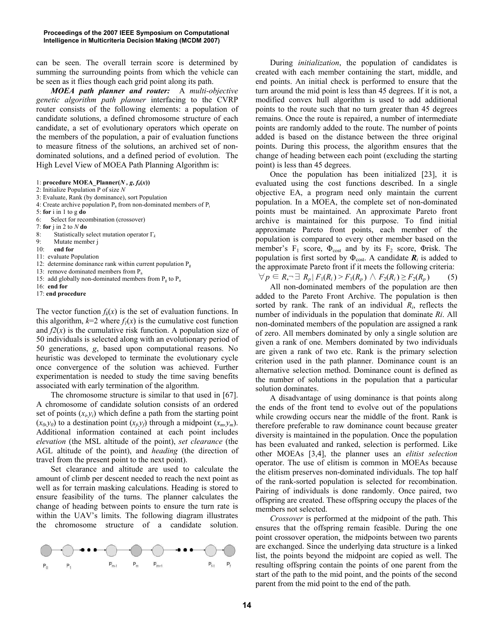can be seen. The overall terrain score is determined by summing the surrounding points from which the vehicle can be seen as it flies though each grid point along its path.

*MOEA path planner and router:* A *multi-objective genetic algorithm path planner* interfacing to the CVRP router consists of the following elements: a population of candidate solutions, a defined chromosome structure of each candidate, a set of evolutionary operators which operate on the members of the population, a pair of evaluation functions to measure fitness of the solutions, an archived set of nondominated solutions, and a defined period of evolution. The High Level View of MOEA Path Planning Algorithm is:

1: **procedure MOEA\_Planner**( $N$ ,  $g$ ,  $f_k(x)$ )

- 2: Initialize Population P of size *N*
- 3: Evaluate, Rank (by dominance), sort Population
- 4: Create archive population  $P_a$  from non-dominated members of  $P_i$
- 5: **for** i in 1 to g **do**
- 6: Select for recombination (crossover)
- 7: **for** j in 2 to *N* **do**
- 8: Statistically select mutation operator  $\Gamma_k$
- 9: Mutate member j
- 10: **end for**
- 11: evaluate Population
- 12: determine dominance rank within current population  $P_{\varphi}$
- 13: remove dominated members from P<sub>a</sub>
- 15: add globally non-dominated members from  $P_g$  to  $P_a$
- 16: **end for**
- 17: **end procedure**

The vector function  $f_k(x)$  is the set of evaluation functions. In this algorithm,  $k=2$  where  $f_l(x)$  is the cumulative cost function and  $f(x)$  is the cumulative risk function. A population size of 50 individuals is selected along with an evolutionary period of 50 generations, *g*, based upon computational reasons. No heuristic was developed to terminate the evolutionary cycle once convergence of the solution was achieved. Further experimentation is needed to study the time saving benefits associated with early termination of the algorithm.

The chromosome structure is similar to that used in [67]. A chromosome of candidate solution consists of an ordered set of points  $(x_i, y_i)$  which define a path from the starting point  $(x_0, y_0)$  to a destination point  $(x_i, y_j)$  through a midpoint  $(x_m, y_m)$ . Additional information contained at each point includes *elevation* (the MSL altitude of the point), *set clearance* (the AGL altitude of the point), and *heading* (the direction of travel from the present point to the next point).

Set clearance and altitude are used to calculate the amount of climb per descent needed to reach the next point as well as for terrain masking calculations. Heading is stored to ensure feasibility of the turns. The planner calculates the change of heading between points to ensure the turn rate is within the UAV's limits. The following diagram illustrates the chromosome structure of a candidate solution.



During *initialization*, the population of candidates is created with each member containing the start, middle, and end points. An initial check is performed to ensure that the turn around the mid point is less than 45 degrees. If it is not, a modified convex hull algorithm is used to add additional points to the route such that no turn greater than 45 degrees remains. Once the route is repaired, a number of intermediate points are randomly added to the route. The number of points added is based on the distance between the three original points. During this process, the algorithm ensures that the change of heading between each point (excluding the starting point) is less than 45 degrees.

Once the population has been initialized [23], it is evaluated using the cost functions described. In a single objective EA, a program need only maintain the current population. In a MOEA, the complete set of non-dominated points must be maintained. An approximate Pareto front archive is maintained for this purpose. To find initial approximate Pareto front points, each member of the population is compared to every other member based on the member's  $F_1$  score,  $\Phi_{\text{cost}}$  and by its  $F_2$  score,  $\Phi$ risk. The population is first sorted by  $\Phi_{\text{cost}}$ . A candidate  $\mathbf{R}_i$  is added to the approximate Pareto front if it meets the following criteria:  $\forall p \in R, \exists R_p | F_1(R_i) > F_1(R_p) \land F_2(R_i) \ge F_2(R_p)$  (5)

All non-dominated members of the population are then added to the Pareto Front Archive. The population is then sorted by rank. The rank of an individual *Ri*, reflects the number of individuals in the population that dominate *Ri*. All non-dominated members of the population are assigned a rank of zero. All members dominated by only a single solution are given a rank of one. Members dominated by two individuals are given a rank of two etc. Rank is the primary selection criterion used in the path planner. Dominance count is an alternative selection method. Dominance count is defined as the number of solutions in the population that a particular solution dominates.

A disadvantage of using dominance is that points along the ends of the front tend to evolve out of the populations while crowding occurs near the middle of the front. Rank is therefore preferable to raw dominance count because greater diversity is maintained in the population. Once the population has been evaluated and ranked, selection is performed. Like other MOEAs [3,4], the planner uses an *elitist selection* operator. The use of elitism is common in MOEAs because the elitism preserves non-dominated individuals. The top half of the rank-sorted population is selected for recombination. Pairing of individuals is done randomly. Once paired, two offspring are created. These offspring occupy the places of the members not selected.

*Crossover* is performed at the midpoint of the path. This ensures that the offspring remain feasible. During the one point crossover operation, the midpoints between two parents are exchanged. Since the underlying data structure is a linked list, the points beyond the midpoint are copied as well. The resulting offspring contain the points of one parent from the start of the path to the mid point, and the points of the second parent from the mid point to the end of the path.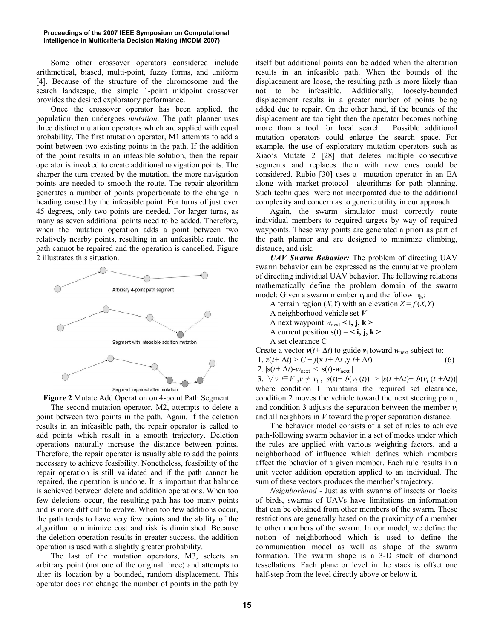Some other crossover operators considered include arithmetical, biased, multi-point, fuzzy forms, and uniform [4]. Because of the structure of the chromosome and the search landscape, the simple 1-point midpoint crossover provides the desired exploratory performance.

Once the crossover operator has been applied, the population then undergoes *mutation*. The path planner uses three distinct mutation operators which are applied with equal probability. The first mutation operator, M1 attempts to add a point between two existing points in the path. If the addition of the point results in an infeasible solution, then the repair operator is invoked to create additional navigation points. The sharper the turn created by the mutation, the more navigation points are needed to smooth the route. The repair algorithm generates a number of points proportionate to the change in heading caused by the infeasible point. For turns of just over 45 degrees, only two points are needed. For larger turns, as many as seven additional points need to be added. Therefore, when the mutation operation adds a point between two relatively nearby points, resulting in an unfeasible route, the path cannot be repaired and the operation is cancelled. Figure 2 illustrates this situation.



**Figure 2** Mutate Add Operation on 4-point Path Segment.

The second mutation operator, M2, attempts to delete a point between two points in the path. Again, if the deletion results in an infeasible path, the repair operator is called to add points which result in a smooth trajectory. Deletion operations naturally increase the distance between points. Therefore, the repair operator is usually able to add the points necessary to achieve feasibility. Nonetheless, feasibility of the repair operation is still validated and if the path cannot be repaired, the operation is undone. It is important that balance is achieved between delete and addition operations. When too few deletions occur, the resulting path has too many points and is more difficult to evolve. When too few additions occur, the path tends to have very few points and the ability of the algorithm to minimize cost and risk is diminished. Because the deletion operation results in greater success, the addition operation is used with a slightly greater probability.

The last of the mutation operators, M3, selects an arbitrary point (not one of the original three) and attempts to alter its location by a bounded, random displacement. This operator does not change the number of points in the path by itself but additional points can be added when the alteration results in an infeasible path. When the bounds of the displacement are loose, the resulting path is more likely than not to be infeasible. Additionally, loosely-bounded displacement results in a greater number of points being added due to repair. On the other hand, if the bounds of the displacement are too tight then the operator becomes nothing more than a tool for local search. Possible additional mutation operators could enlarge the search space. For example, the use of exploratory mutation operators such as Xiao's Mutate 2 [28] that deletes multiple consecutive segments and replaces them with new ones could be considered. Rubio [30] uses a mutation operator in an EA along with market-protocol algorithms for path planning. Such techniques were not incorporated due to the additional complexity and concern as to generic utility in our approach.

Again, the swarm simulator must correctly route individual members to required targets by way of required waypoints. These way points are generated a priori as part of the path planner and are designed to minimize climbing, distance, and risk.

*UAV Swarm Behavior:* The problem of directing UAV swarm behavior can be expressed as the cumulative problem of directing individual UAV behavior. The following relations mathematically define the problem domain of the swarm model: Given a swarm member  $v_i$  and the following:

A terrain region  $(X, Y)$  with an elevation  $Z = f(X, Y)$  A neighborhood vehicle set *V* A next waypoint  $w_{\text{next}} < i$ ,  $j, k >$ A current position  $s(t) = \langle \mathbf{i}, \mathbf{j}, \mathbf{k} \rangle$ A set clearance C

Create a vector  $v(t + \Delta t)$  to guide  $v_i$  toward  $w_{\text{next}}$  subject to: 1.  $z(t+\Delta t) > C + f(x t + \Delta t, y t + \Delta t)$  (6) 2.  $|s(t+\Delta t)-w_{\text{next}}| \leq |s(t)-w_{\text{next}}|$ 3.  $\forall v \in V, v \neq v_i, |s(t) - b(v_i(t))| > |s(t + \Delta t) - b(v_i(t + \Delta t))|$ where condition 1 maintains the required set clearance, condition 2 moves the vehicle toward the next steering point,

and condition 3 adjusts the separation between the member  $v_i$ 

and all neighbors in *V* toward the proper separation distance. The behavior model consists of a set of rules to achieve path-following swarm behavior in a set of modes under which the rules are applied with various weighting factors, and a neighborhood of influence which defines which members affect the behavior of a given member. Each rule results in a unit vector addition operation applied to an individual. The sum of these vectors produces the member's trajectory.

 *Neighborhood -* Just as with swarms of insects or flocks of birds, swarms of UAVs have limitations on information that can be obtained from other members of the swarm. These restrictions are generally based on the proximity of a member to other members of the swarm. In our model, we define the notion of neighborhood which is used to define the communication model as well as shape of the swarm formation. The swarm shape is a 3-D stack of diamond tessellations. Each plane or level in the stack is offset one half-step from the level directly above or below it.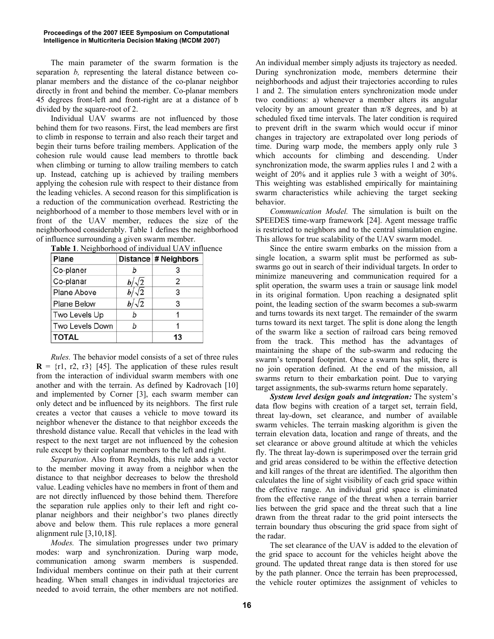The main parameter of the swarm formation is the separation *b,* representing the lateral distance between coplanar members and the distance of the co-planar neighbor directly in front and behind the member. Co-planar members 45 degrees front-left and front-right are at a distance of b divided by the square-root of 2.

Individual UAV swarms are not influenced by those behind them for two reasons. First, the lead members are first to climb in response to terrain and also reach their target and begin their turns before trailing members. Application of the cohesion rule would cause lead members to throttle back when climbing or turning to allow trailing members to catch up. Instead, catching up is achieved by trailing members applying the cohesion rule with respect to their distance from the leading vehicles. A second reason for this simplification is a reduction of the communication overhead. Restricting the neighborhood of a member to those members level with or in front of the UAV member, reduces the size of the neighborhood considerably. Table 1 defines the neighborhood of influence surrounding a given swarm member.

| <b>Table 1.</b> INCIRIIDOHIOOG OF IHGIVIGUAL UP V IHHUW |              |                      |  |  |  |
|---------------------------------------------------------|--------------|----------------------|--|--|--|
| Plane                                                   |              | Distance # Neighbors |  |  |  |
| Co-planer                                               |              |                      |  |  |  |
| Co-planar                                               | $b/\sqrt{2}$ | 2                    |  |  |  |
| Plane Above                                             | $b/\sqrt{2}$ | 3                    |  |  |  |
| <b>Plane Below</b>                                      | $b/\sqrt{2}$ | 3                    |  |  |  |
| Two Levels Up                                           | b            |                      |  |  |  |
| Two Levels Down                                         | h            |                      |  |  |  |
| <b>TOTAL</b>                                            |              | 13                   |  |  |  |

*Rules.* The behavior model consists of a set of three rules  $\mathbf{R} = \{r1, r2, r3\}$  [45]. The application of these rules result from the interaction of individual swarm members with one another and with the terrain. As defined by Kadrovach [10] and implemented by Corner [3], each swarm member can only detect and be influenced by its neighbors. The first rule creates a vector that causes a vehicle to move toward its neighbor whenever the distance to that neighbor exceeds the threshold distance value. Recall that vehicles in the lead with respect to the next target are not influenced by the cohesion rule except by their coplanar members to the left and right.

*Separation*. Also from Reynolds, this rule adds a vector to the member moving it away from a neighbor when the distance to that neighbor decreases to below the threshold value. Leading vehicles have no members in front of them and are not directly influenced by those behind them. Therefore the separation rule applies only to their left and right coplanar neighbors and their neighbor's two planes directly above and below them. This rule replaces a more general alignment rule [3,10,18].

*Modes.* The simulation progresses under two primary modes: warp and synchronization. During warp mode, communication among swarm members is suspended. Individual members continue on their path at their current heading. When small changes in individual trajectories are needed to avoid terrain, the other members are not notified.

An individual member simply adjusts its trajectory as needed. During synchronization mode, members determine their neighborhoods and adjust their trajectories according to rules 1 and 2. The simulation enters synchronization mode under two conditions: a) whenever a member alters its angular velocity by an amount greater than  $\pi/8$  degrees, and b) at scheduled fixed time intervals. The later condition is required to prevent drift in the swarm which would occur if minor changes in trajectory are extrapolated over long periods of time. During warp mode, the members apply only rule 3 which accounts for climbing and descending. Under synchronization mode, the swarm applies rules 1 and 2 with a weight of 20% and it applies rule 3 with a weight of 30%. This weighting was established empirically for maintaining swarm characteristics while achieving the target seeking behavior.

*Communication Model.* The simulation is built on the SPEEDES time-warp framework [24]. Agent message traffic is restricted to neighbors and to the central simulation engine. This allows for true scalability of the UAV swarm model.

Since the entire swarm embarks on the mission from a single location, a swarm split must be performed as subswarms go out in search of their individual targets. In order to minimize maneuvering and communication required for a split operation, the swarm uses a train or sausage link model in its original formation. Upon reaching a designated split point, the leading section of the swarm becomes a sub-swarm and turns towards its next target. The remainder of the swarm turns toward its next target. The split is done along the length of the swarm like a section of railroad cars being removed from the track. This method has the advantages of maintaining the shape of the sub-swarm and reducing the swarm's temporal footprint. Once a swarm has split, there is no join operation defined. At the end of the mission, all swarms return to their embarkation point. Due to varying target assignments, the sub-swarms return home separately.

*System level design goals and integration:* The system's data flow begins with creation of a target set, terrain field, threat lay-down, set clearance, and number of available swarm vehicles. The terrain masking algorithm is given the terrain elevation data, location and range of threats, and the set clearance or above ground altitude at which the vehicles fly. The threat lay-down is superimposed over the terrain grid and grid areas considered to be within the effective detection and kill ranges of the threat are identified. The algorithm then calculates the line of sight visibility of each grid space within the effective range. An individual grid space is eliminated from the effective range of the threat when a terrain barrier lies between the grid space and the threat such that a line drawn from the threat radar to the grid point intersects the terrain boundary thus obscuring the grid space from sight of the radar.

The set clearance of the UAV is added to the elevation of the grid space to account for the vehicles height above the ground. The updated threat range data is then stored for use by the path planner. Once the terrain has been preprocessed, the vehicle router optimizes the assignment of vehicles to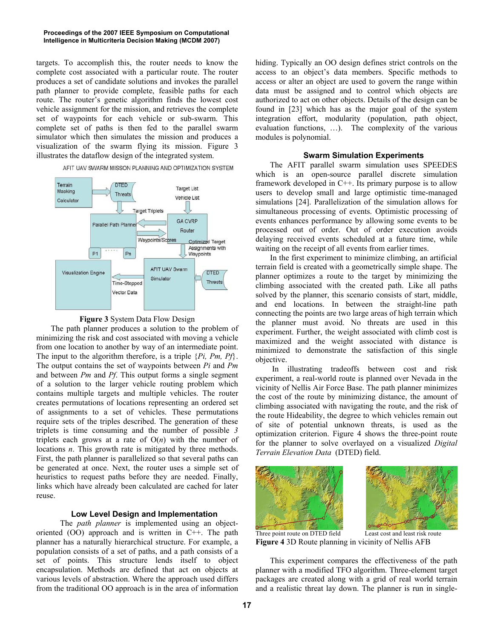targets. To accomplish this, the router needs to know the complete cost associated with a particular route. The router produces a set of candidate solutions and invokes the parallel path planner to provide complete, feasible paths for each route. The router's genetic algorithm finds the lowest cost vehicle assignment for the mission, and retrieves the complete set of waypoints for each vehicle or sub-swarm. This complete set of paths is then fed to the parallel swarm simulator which then simulates the mission and produces a visualization of the swarm flying its mission. Figure 3 illustrates the dataflow design of the integrated system.







The path planner produces a solution to the problem of minimizing the risk and cost associated with moving a vehicle from one location to another by way of an intermediate point. The input to the algorithm therefore, is a triple {*Pi, Pm, Pf*}. The output contains the set of waypoints between *Pi* and *Pm* and between *Pm* and *Pf*. This output forms a single segment of a solution to the larger vehicle routing problem which contains multiple targets and multiple vehicles. The router creates permutations of locations representing an ordered set of assignments to a set of vehicles. These permutations require sets of the triples described. The generation of these triplets is time consuming and the number of possible *3* triplets each grows at a rate of  $O(n)$  with the number of locations *n*. This growth rate is mitigated by three methods. First, the path planner is parallelized so that several paths can be generated at once. Next, the router uses a simple set of heuristics to request paths before they are needed. Finally, links which have already been calculated are cached for later reuse.

# **Low Level Design and Implementation**

The *path planner* is implemented using an objectoriented (OO) approach and is written in C++. The path planner has a naturally hierarchical structure. For example, a population consists of a set of paths, and a path consists of a set of points. This structure lends itself to object encapsulation. Methods are defined that act on objects at various levels of abstraction. Where the approach used differs from the traditional OO approach is in the area of information

hiding. Typically an OO design defines strict controls on the access to an object's data members. Specific methods to access or alter an object are used to govern the range within data must be assigned and to control which objects are authorized to act on other objects. Details of the design can be found in [23] which has as the major goal of the system integration effort, modularity (population, path object, evaluation functions, …). The complexity of the various modules is polynomial.

# **Swarm Simulation Experiments**

The AFIT parallel swarm simulation uses SPEEDES which is an open-source parallel discrete simulation framework developed in C++. Its primary purpose is to allow users to develop small and large optimistic time-managed simulations [24]. Parallelization of the simulation allows for simultaneous processing of events. Optimistic processing of events enhances performance by allowing some events to be processed out of order. Out of order execution avoids delaying received events scheduled at a future time, while waiting on the receipt of all events from earlier times.

In the first experiment to minimize climbing, an artificial terrain field is created with a geometrically simple shape. The planner optimizes a route to the target by minimizing the climbing associated with the created path. Like all paths solved by the planner, this scenario consists of start, middle, and end locations. In between the straight-line path connecting the points are two large areas of high terrain which the planner must avoid. No threats are used in this experiment. Further, the weight associated with climb cost is maximized and the weight associated with distance is minimized to demonstrate the satisfaction of this single objective.

In illustrating tradeoffs between cost and risk experiment, a real-world route is planned over Nevada in the vicinity of Nellis Air Force Base. The path planner minimizes the cost of the route by minimizing distance, the amount of climbing associated with navigating the route, and the risk of the route Hideability, the degree to which vehicles remain out of site of potential unknown threats, is used as the optimization criterion. Figure 4 shows the three-point route for the planner to solve overlayed on a visualized *Digital Terrain Elevation Data* (DTED) field.





Three point route on DTED field Least cost and least risk route **Figure 4** 3D Route planning in vicinity of Nellis AFB

This experiment compares the effectiveness of the path planner with a modified TFO algorithm. Three-element target packages are created along with a grid of real world terrain and a realistic threat lay down. The planner is run in single-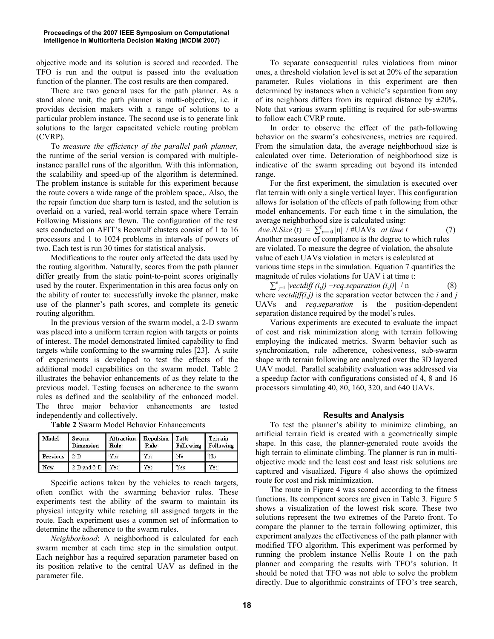objective mode and its solution is scored and recorded. The TFO is run and the output is passed into the evaluation function of the planner. The cost results are then compared.

There are two general uses for the path planner. As a stand alone unit, the path planner is multi-objective, i.e. it provides decision makers with a range of solutions to a particular problem instance. The second use is to generate link solutions to the larger capacitated vehicle routing problem (CVRP).

To *measure the efficiency of the parallel path planner,* the runtime of the serial version is compared with multipleinstance parallel runs of the algorithm. With this information, the scalability and speed-up of the algorithm is determined. The problem instance is suitable for this experiment because the route covers a wide range of the problem space,. Also, the the repair function due sharp turn is tested, and the solution is overlaid on a varied, real-world terrain space where Terrain Following Missions are flown. The configuration of the test sets conducted on AFIT's Beowulf clusters consist of 1 to 16 processors and 1 to 1024 problems in intervals of powers of two. Each test is run 30 times for statistical analysis.

Modifications to the router only affected the data used by the routing algorithm. Naturally, scores from the path planner differ greatly from the static point-to-point scores originally used by the router. Experimentation in this area focus only on the ability of router to: successfully invoke the planner, make use of the planner's path scores, and complete its genetic routing algorithm.

In the previous version of the swarm model, a 2-D swarm was placed into a uniform terrain region with targets or points of interest. The model demonstrated limited capability to find targets while conforming to the swarming rules [23]. A suite of experiments is developed to test the effects of the additional model capabilities on the swarm model. Table 2 illustrates the behavior enhancements of as they relate to the previous model. Testing focuses on adherence to the swarm rules as defined and the scalability of the enhanced model. The three major behavior enhancements are tested independently and collectively.

| Model    | Swarm<br>Dimension | Attraction<br>Rule | Repulsion<br>Rule | l Path<br>Following | Terrain<br>Following |
|----------|--------------------|--------------------|-------------------|---------------------|----------------------|
| Previous | $2-D$              | Yes                | Yes               | No                  | No                   |
| New      | $2-D$ and $3-D$    | Yes.               | Yes               | Yes                 | Yes.                 |

**Table 2** Swarm Model Behavior Enhancements

Specific actions taken by the vehicles to reach targets, often conflict with the swarming behavior rules. These experiments test the ability of the swarm to maintain its physical integrity while reaching all assigned targets in the route. Each experiment uses a common set of information to determine the adherence to the swarm rules.

*Neighborhood*: A neighborhood is calculated for each swarm member at each time step in the simulation output. Each neighbor has a required separation parameter based on its position relative to the central UAV as defined in the parameter file.

To separate consequential rules violations from minor ones, a threshold violation level is set at 20% of the separation parameter. Rules violations in this experiment are then determined by instances when a vehicle's separation from any of its neighbors differs from its required distance by  $\pm 20\%$ . Note that various swarm splitting is required for sub-swarms to follow each CVRP route.

In order to observe the effect of the path-following behavior on the swarm's cohesiveness, metrics are required. From the simulation data, the average neighborhood size is calculated over time. Deterioration of neighborhood size is indicative of the swarm spreading out beyond its intended range.

For the first experiment, the simulation is executed over flat terrain with only a single vertical layer. This configuration allows for isolation of the effects of path following from other model enhancements. For each time t in the simulation, the average neighborhood size is calculated using:

*Ave.N.Size* (t) =  $\sum_{t=0}^{f} |n|$  / #UAVs *at time t* (7) Another measure of compliance is the degree to which rules are violated. To measure the degree of violation, the absolute value of each UAVs violation in meters is calculated at various time steps in the simulation. Equation 7 quantifies the magnitude of rules violations for UAV i at time t:

 $\sum_{j=1}^{n}$  |*vectdiff (i,j) –req.separation (i,j)*| */* n (8) where *vectdiff(i,j)* is the separation vector between the *i* and *j* UAVs and *req.separation* is the position-dependent separation distance required by the model's rules.

Various experiments are executed to evaluate the impact of cost and risk minimization along with terrain following employing the indicated metrics. Swarm behavior such as synchronization, rule adherence, cohesiveness, sub-swarm shape with terrain following are analyzed over the 3D layered UAV model. Parallel scalability evaluation was addressed via a speedup factor with configurations consisted of 4, 8 and 16 processors simulating 40, 80, 160, 320, and 640 UAVs.

#### **Results and Analysis**

To test the planner's ability to minimize climbing, an artificial terrain field is created with a geometrically simple shape. In this case, the planner-generated route avoids the high terrain to eliminate climbing. The planner is run in multiobjective mode and the least cost and least risk solutions are captured and visualized. Figure 4 also shows the optimized route for cost and risk minimization.

The route in Figure 4 was scored according to the fitness functions. Its component scores are given in Table 3. Figure 5 shows a visualization of the lowest risk score. These two solutions represent the two extremes of the Pareto front. To compare the planner to the terrain following optimizer, this experiment analyzes the effectiveness of the path planner with modified TFO algorithm. This experiment was performed by running the problem instance Nellis Route 1 on the path planner and comparing the results with TFO's solution. It should be noted that TFO was not able to solve the problem directly. Due to algorithmic constraints of TFO's tree search,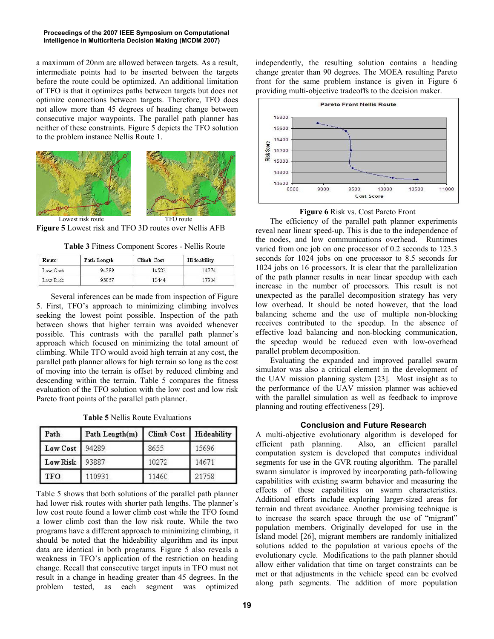a maximum of 20nm are allowed between targets. As a result, intermediate points had to be inserted between the targets before the route could be optimized. An additional limitation of TFO is that it optimizes paths between targets but does not optimize connections between targets. Therefore, TFO does not allow more than 45 degrees of heading change between consecutive major waypoints. The parallel path planner has neither of these constraints. Figure 5 depicts the TFO solution to the problem instance Nellis Route 1.



**Figure 5** Lowest risk and TFO 3D routes over Nellis AFB

**Table 3** Fitness Component Scores - Nellis Route

| Route    | Path Length | <b>Climb Cost</b> | Hideability |  |
|----------|-------------|-------------------|-------------|--|
| Low Cost | 94289       | 10522             | 14774       |  |
| Low Risk | 93857       | 12444             | 17904       |  |

Several inferences can be made from inspection of Figure 5. First, TFO's approach to minimizing climbing involves seeking the lowest point possible. Inspection of the path between shows that higher terrain was avoided whenever possible. This contrasts with the parallel path planner's approach which focused on minimizing the total amount of climbing. While TFO would avoid high terrain at any cost, the parallel path planner allows for high terrain so long as the cost of moving into the terrain is offset by reduced climbing and descending within the terrain. Table 5 compares the fitness evaluation of the TFO solution with the low cost and low risk Pareto front points of the parallel path planner.

**Table 5** Nellis Route Evaluations

| Path            | Path Length(m) |       | Climb Cost   Hideability |
|-----------------|----------------|-------|--------------------------|
| Low Cost        | 94289          | 8655  | 15696                    |
| <b>Low Risk</b> | 93887          | 10272 | 14671                    |
| TFO.            | 110931         | 11460 | 21758                    |

Table 5 shows that both solutions of the parallel path planner had lower risk routes with shorter path lengths. The planner's low cost route found a lower climb cost while the TFO found a lower climb cost than the low risk route. While the two programs have a different approach to minimizing climbing, it should be noted that the hideability algorithm and its input data are identical in both programs. Figure 5 also reveals a weakness in TFO's application of the restriction on heading change. Recall that consecutive target inputs in TFO must not result in a change in heading greater than 45 degrees. In the problem tested, as each segment was optimized

independently, the resulting solution contains a heading change greater than 90 degrees. The MOEA resulting Pareto front for the same problem instance is given in Figure 6 providing multi-objective tradeoffs to the decision maker.





 The efficiency of the parallel path planner experiments reveal near linear speed-up. This is due to the independence of the nodes, and low communications overhead. Runtimes varied from one job on one processor of 0.2 seconds to 123.3 seconds for 1024 jobs on one processor to 8.5 seconds for 1024 jobs on 16 processors. It is clear that the parallelization of the path planner results in near linear speedup with each increase in the number of processors. This result is not unexpected as the parallel decomposition strategy has very low overhead. It should be noted however, that the load balancing scheme and the use of multiple non-blocking receives contributed to the speedup. In the absence of effective load balancing and non-blocking communication, the speedup would be reduced even with low-overhead parallel problem decomposition.

Evaluating the expanded and improved parallel swarm simulator was also a critical element in the development of the UAV mission planning system [23]. Most insight as to the performance of the UAV mission planner was achieved with the parallel simulation as well as feedback to improve planning and routing effectiveness [29].

# **Conclusion and Future Research**

A multi-objective evolutionary algorithm is developed for efficient path planning. Also, an efficient parallel computation system is developed that computes individual segments for use in the GVR routing algorithm. The parallel swarm simulator is improved by incorporating path-following capabilities with existing swarm behavior and measuring the effects of these capabilities on swarm characteristics. Additional efforts include exploring larger-sized areas for terrain and threat avoidance. Another promising technique is to increase the search space through the use of "migrant" population members. Originally developed for use in the Island model [26], migrant members are randomly initialized solutions added to the population at various epochs of the evolutionary cycle. Modifications to the path planner should allow either validation that time on target constraints can be met or that adjustments in the vehicle speed can be evolved along path segments. The addition of more population